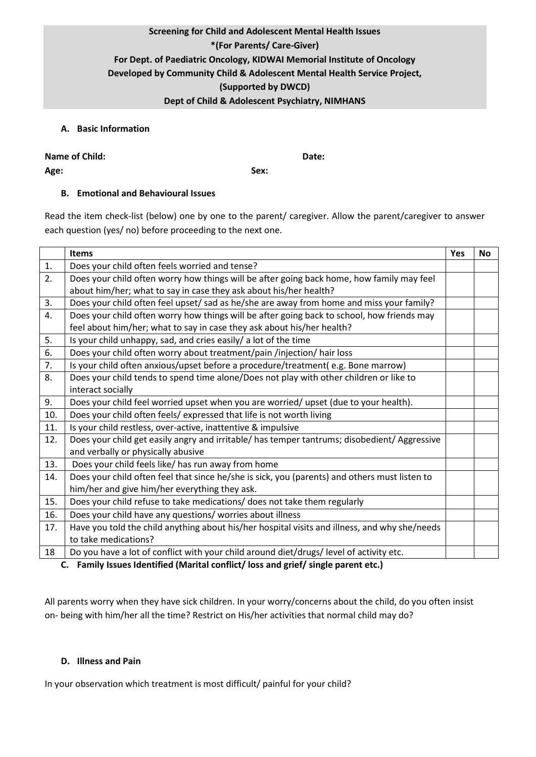## **Screening for Child and Adolescent Mental Health Issues \*(For Parents/ Care-Giver) For Dept. of Paediatric Oncology, KIDWAI Memorial Institute of Oncology Developed by Community Child & Adolescent Mental Health Service Project, (Supported by DWCD) Dept of Child & Adolescent Psychiatry, NIMHANS**

## **A. Basic Information**

| Name of Child: | Date: |
|----------------|-------|
| Age:           | Sex:  |

## **B. Emotional and Behavioural Issues**

Read the item check-list (below) one by one to the parent/ caregiver. Allow the parent/caregiver to answer each question (yes/ no) before proceeding to the next one.

|     | <b>Items</b>                                                                                  | Yes | <b>No</b> |
|-----|-----------------------------------------------------------------------------------------------|-----|-----------|
| 1.  | Does your child often feels worried and tense?                                                |     |           |
| 2.  | Does your child often worry how things will be after going back home, how family may feel     |     |           |
|     | about him/her; what to say in case they ask about his/her health?                             |     |           |
| 3.  | Does your child often feel upset/ sad as he/she are away from home and miss your family?      |     |           |
| 4.  | Does your child often worry how things will be after going back to school, how friends may    |     |           |
|     | feel about him/her; what to say in case they ask about his/her health?                        |     |           |
| 5.  | Is your child unhappy, sad, and cries easily/ a lot of the time                               |     |           |
| 6.  | Does your child often worry about treatment/pain /injection/ hair loss                        |     |           |
| 7.  | Is your child often anxious/upset before a procedure/treatment(e.g. Bone marrow)              |     |           |
| 8.  | Does your child tends to spend time alone/Does not play with other children or like to        |     |           |
|     | interact socially                                                                             |     |           |
| 9.  | Does your child feel worried upset when you are worried/ upset (due to your health).          |     |           |
| 10. | Does your child often feels/ expressed that life is not worth living                          |     |           |
| 11. | Is your child restless, over-active, inattentive & impulsive                                  |     |           |
| 12. | Does your child get easily angry and irritable/ has temper tantrums; disobedient/ Aggressive  |     |           |
|     | and verbally or physically abusive                                                            |     |           |
| 13. | Does your child feels like/ has run away from home                                            |     |           |
| 14. | Does your child often feel that since he/she is sick, you (parents) and others must listen to |     |           |
|     | him/her and give him/her everything they ask.                                                 |     |           |
| 15. | Does your child refuse to take medications/ does not take them regularly                      |     |           |
| 16. | Does your child have any questions/ worries about illness                                     |     |           |
| 17. | Have you told the child anything about his/her hospital visits and illness, and why she/needs |     |           |
|     | to take medications?                                                                          |     |           |
| 18  | Do you have a lot of conflict with your child around diet/drugs/level of activity etc.        |     |           |

**C. Family Issues Identified (Marital conflict/ loss and grief/ single parent etc.)**

All parents worry when they have sick children. In your worry/concerns about the child, do you often insist on- being with him/her all the time? Restrict on His/her activities that normal child may do?

## **D. Illness and Pain**

In your observation which treatment is most difficult/ painful for your child?